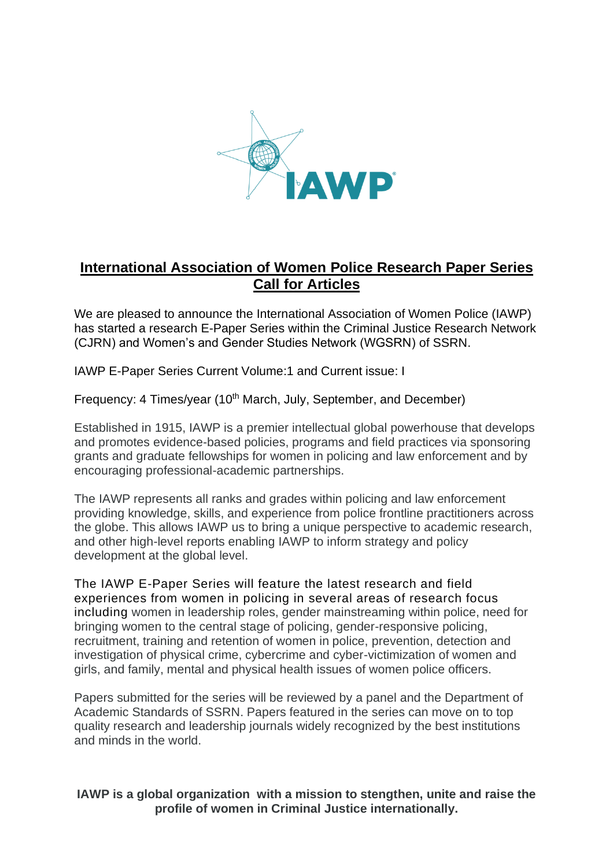

## **International Association of Women Police Research Paper Series Call for Articles**

We are pleased to announce the International Association of Women Police (IAWP) has started a research E-Paper Series within the Criminal Justice Research Network (CJRN) and Women's and Gender Studies Network (WGSRN) of SSRN.

IAWP E-Paper Series Current Volume:1 and Current issue: I

Frequency: 4 Times/year (10<sup>th</sup> March, July, September, and December)

Established in 1915, IAWP is a premier intellectual global powerhouse that develops and promotes evidence-based policies, programs and field practices via sponsoring grants and graduate fellowships for women in policing and law enforcement and by encouraging professional-academic partnerships.

The IAWP represents all ranks and grades within policing and law enforcement providing knowledge, skills, and experience from police frontline practitioners across the globe. This allows IAWP us to bring a unique perspective to academic research, and other high-level reports enabling IAWP to inform strategy and policy development at the global level.

The IAWP E-Paper Series will feature the latest research and field experiences from women in policing in several areas of research focus including women in leadership roles, gender mainstreaming within police, need for bringing women to the central stage of policing, gender-responsive policing, recruitment, training and retention of women in police, prevention, detection and investigation of physical crime, cybercrime and cyber-victimization of women and girls, and family, mental and physical health issues of women police officers.

Papers submitted for the series will be reviewed by a panel and the Department of Academic Standards of SSRN. Papers featured in the series can move on to top quality research and leadership journals widely recognized by the best institutions and minds in the world.

**IAWP is a global organization with a mission to stengthen, unite and raise the profile of women in Criminal Justice internationally.**